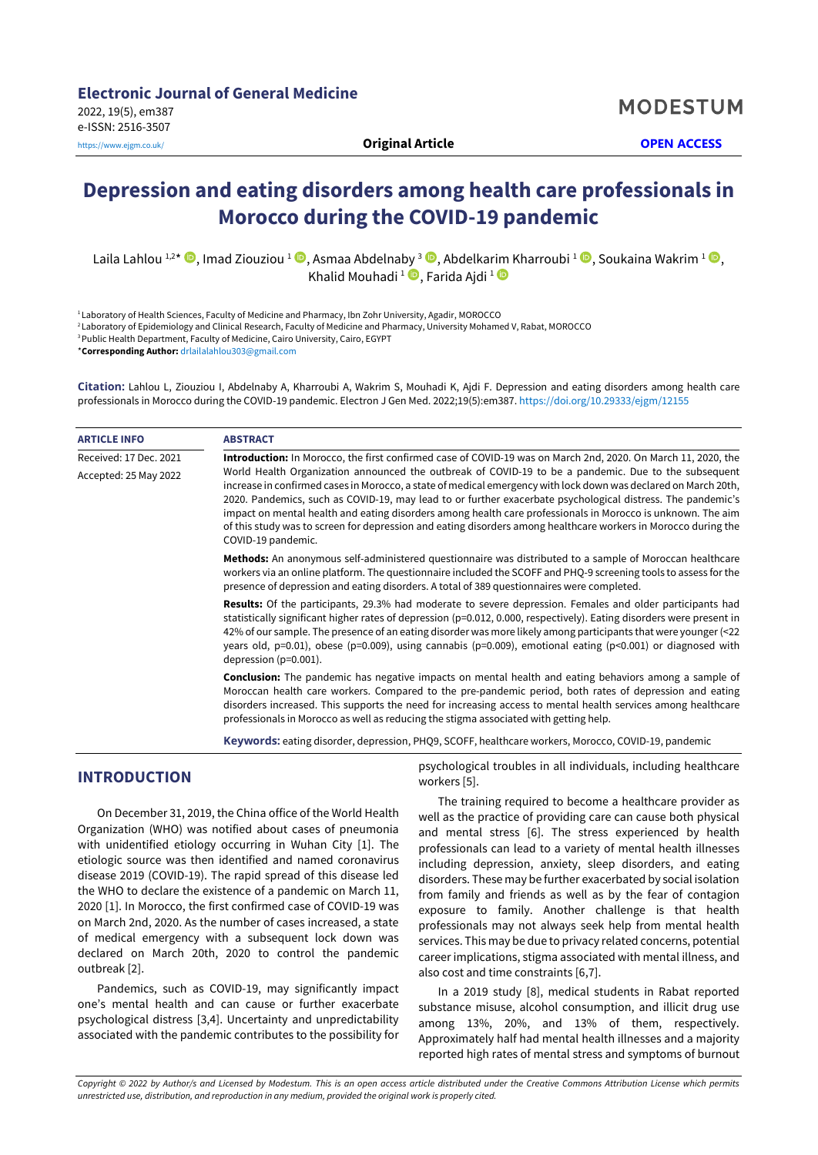**MODESTUM** 

# **Depression and eating disorders among health care professionals in Morocco during the COVID-19 pandemic**

Laila Lahlou 1,2\*  $\bullet$ , Imad Ziouziou 1  $\bullet$ , Asmaa Abdelnaby 3  $\bullet$ , Abdelkarim Kharroubi 1  $\bullet$ , Soukaina Wakrim 1  $\bullet$ , Khalid Mouhadi <sup>1</sup> D, Farida Ajdi <sup>1</sup>

1 Laboratory of Health Sciences, Faculty of Medicine and Pharmacy, Ibn Zohr University, Agadir, MOROCCO

<sup>2</sup> Laboratory of Epidemiology and Clinical Research, Faculty of Medicine and Pharmacy, University Mohamed V, Rabat, MOROCCO

<sup>3</sup> Public Health Department, Faculty of Medicine, Cairo University, Cairo, EGYPT

\***Corresponding Author:** [drlailalahlou303@gmail.com](mailto:drlailalahlou303@gmail.com)

**Citation:** Lahlou L, Ziouziou I, Abdelnaby A, Kharroubi A, Wakrim S, Mouhadi K, Ajdi F. Depression and eating disorders among health care professionals in Morocco during the COVID-19 pandemic. Electron J Gen Med. 2022;19(5):em387. <https://doi.org/10.29333/ejgm/12155>

| <b>ARTICLE INFO</b>    | <b>ABSTRACT</b>                                                                                                                                                                                                                                                                                                                                                                                                                                                                                                                                                                               |  |  |  |  |
|------------------------|-----------------------------------------------------------------------------------------------------------------------------------------------------------------------------------------------------------------------------------------------------------------------------------------------------------------------------------------------------------------------------------------------------------------------------------------------------------------------------------------------------------------------------------------------------------------------------------------------|--|--|--|--|
| Received: 17 Dec. 2021 | Introduction: In Morocco, the first confirmed case of COVID-19 was on March 2nd, 2020. On March 11, 2020, the                                                                                                                                                                                                                                                                                                                                                                                                                                                                                 |  |  |  |  |
| Accepted: 25 May 2022  | World Health Organization announced the outbreak of COVID-19 to be a pandemic. Due to the subsequent<br>increase in confirmed cases in Morocco, a state of medical emergency with lock down was declared on March 20th,<br>2020. Pandemics, such as COVID-19, may lead to or further exacerbate psychological distress. The pandemic's<br>impact on mental health and eating disorders among health care professionals in Morocco is unknown. The aim<br>of this study was to screen for depression and eating disorders among healthcare workers in Morocco during the<br>COVID-19 pandemic. |  |  |  |  |
|                        | Methods: An anonymous self-administered questionnaire was distributed to a sample of Moroccan healthcare<br>workers via an online platform. The questionnaire included the SCOFF and PHQ-9 screening tools to assess for the<br>presence of depression and eating disorders. A total of 389 questionnaires were completed.                                                                                                                                                                                                                                                                    |  |  |  |  |
|                        | <b>Results:</b> Of the participants, 29.3% had moderate to severe depression. Females and older participants had<br>statistically significant higher rates of depression (p=0.012, 0.000, respectively). Eating disorders were present in<br>42% of our sample. The presence of an eating disorder was more likely among participants that were younger (<22<br>years old, p=0.01), obese (p=0.009), using cannabis (p=0.009), emotional eating (p<0.001) or diagnosed with<br>depression $(p=0.001)$ .                                                                                       |  |  |  |  |
|                        | <b>Conclusion:</b> The pandemic has negative impacts on mental health and eating behaviors among a sample of<br>Moroccan health care workers. Compared to the pre-pandemic period, both rates of depression and eating<br>disorders increased. This supports the need for increasing access to mental health services among healthcare<br>professionals in Morocco as well as reducing the stigma associated with getting help.                                                                                                                                                               |  |  |  |  |
|                        |                                                                                                                                                                                                                                                                                                                                                                                                                                                                                                                                                                                               |  |  |  |  |

**Keywords:** eating disorder, depression, PHQ9, SCOFF, healthcare workers, Morocco, COVID-19, pandemic

workers [5].

# **INTRODUCTION**

On December 31, 2019, the China office of the World Health Organization (WHO) was notified about cases of pneumonia with unidentified etiology occurring in Wuhan City [1]. The etiologic source was then identified and named coronavirus disease 2019 (COVID-19). The rapid spread of this disease led the WHO to declare the existence of a pandemic on March 11, 2020 [1]. In Morocco, the first confirmed case of COVID-19 was on March 2nd, 2020. As the number of cases increased, a state of medical emergency with a subsequent lock down was declared on March 20th, 2020 to control the pandemic outbreak [2].

Pandemics, such as COVID-19, may significantly impact one's mental health and can cause or further exacerbate psychological distress [3,4]. Uncertainty and unpredictability associated with the pandemic contributes to the possibility for

The training required to become a healthcare provider as well as the practice of providing care can cause both physical and mental stress [6]. The stress experienced by health professionals can lead to a variety of mental health illnesses including depression, anxiety, sleep disorders, and eating disorders. These may be further exacerbated by social isolation from family and friends as well as by the fear of contagion exposure to family. Another challenge is that health professionals may not always seek help from mental health services. This may be due to privacy related concerns, potential career implications, stigma associated with mental illness, and

psychological troubles in all individuals, including healthcare

In a 2019 study [8], medical students in Rabat reported substance misuse, alcohol consumption, and illicit drug use among 13%, 20%, and 13% of them, respectively. Approximately half had mental health illnesses and a majority reported high rates of mental stress and symptoms of burnout

also cost and time constraints [6,7].

Copyright © 2022 by Author/s and Licensed by Modestum. This is an open access article distributed under the Creative Commons Attribution License which permits *unrestricted use, distribution, and reproduction in any medium, provided the original work is properly cited.*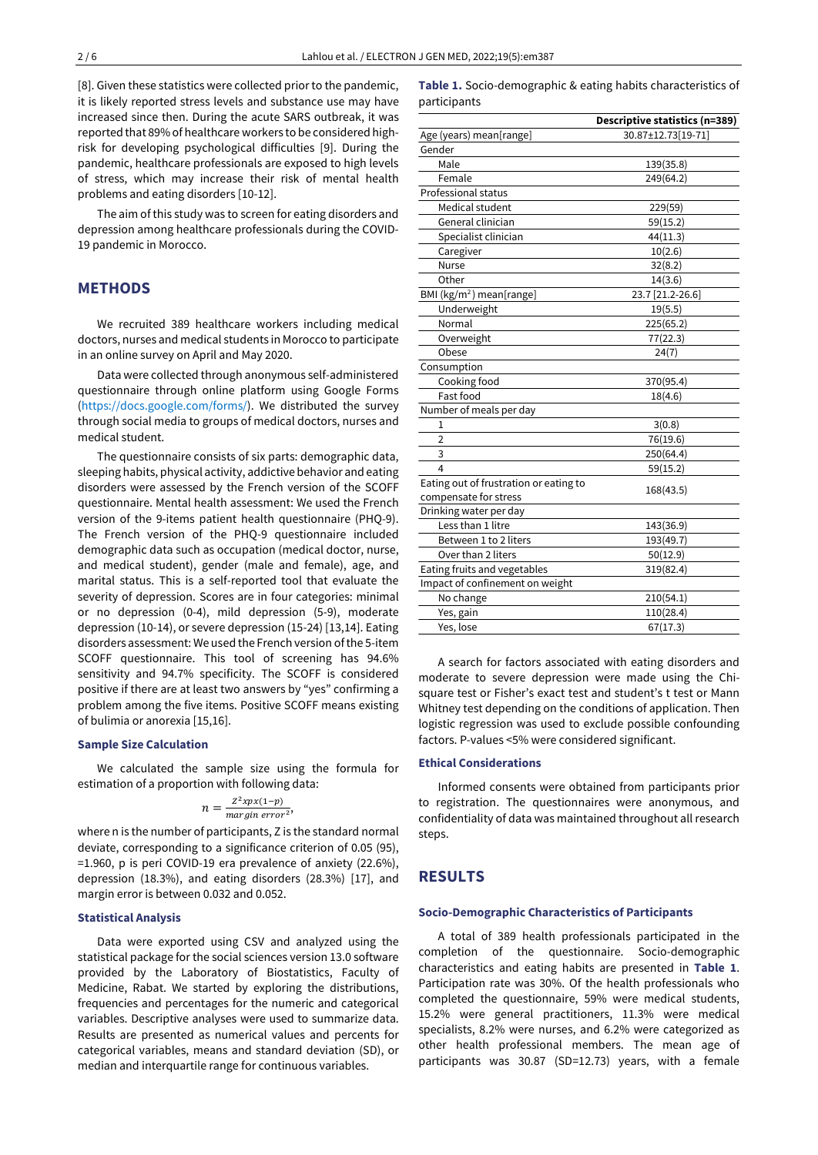[8]. Given these statistics were collected prior to the pandemic, it is likely reported stress levels and substance use may have increased since then. During the acute SARS outbreak, it was reported that 89% of healthcare workers to be considered highrisk for developing psychological difficulties [9]. During the pandemic, healthcare professionals are exposed to high levels of stress, which may increase their risk of mental health problems and eating disorders [10-12].

The aim of this study was to screen for eating disorders and depression among healthcare professionals during the COVID-19 pandemic in Morocco.

## **METHODS**

We recruited 389 healthcare workers including medical doctors, nurses and medical students in Morocco to participate in an online survey on April and May 2020.

Data were collected through anonymous self-administered questionnaire through online platform using Google Forms [\(https://docs.google.com/forms/\)](https://docs.google.com/forms/). We distributed the survey through social media to groups of medical doctors, nurses and medical student.

The questionnaire consists of six parts: demographic data, sleeping habits, physical activity, addictive behavior and eating disorders were assessed by the French version of the SCOFF questionnaire. Mental health assessment: We used the French version of the 9-items patient health questionnaire (PHQ-9). The French version of the PHQ-9 questionnaire included demographic data such as occupation (medical doctor, nurse, and medical student), gender (male and female), age, and marital status. This is a self-reported tool that evaluate the severity of depression. Scores are in four categories: minimal or no depression (0-4), mild depression (5-9), moderate depression (10-14), or severe depression (15-24) [13,14]. Eating disorders assessment: We used the French version of the 5-item SCOFF questionnaire. This tool of screening has 94.6% sensitivity and 94.7% specificity. The SCOFF is considered positive if there are at least two answers by "yes" confirming a problem among the five items. Positive SCOFF means existing of bulimia or anorexia [15,16].

## **Sample Size Calculation**

We calculated the sample size using the formula for estimation of a proportion with following data:

$$
n = \frac{Z^2 x p x (1-p)}{margin\ error^2},
$$

where n is the number of participants, Z is the standard normal deviate, corresponding to a significance criterion of 0.05 (95), =1.960, p is peri COVID-19 era prevalence of anxiety (22.6%), depression (18.3%), and eating disorders (28.3%) [17], and margin error is between 0.032 and 0.052.

#### **Statistical Analysis**

Data were exported using CSV and analyzed using the statistical package for the social sciences version 13.0 software provided by the Laboratory of Biostatistics, Faculty of Medicine, Rabat. We started by exploring the distributions, frequencies and percentages for the numeric and categorical variables. Descriptive analyses were used to summarize data. Results are presented as numerical values and percents for categorical variables, means and standard deviation (SD), or median and interquartile range for continuous variables.

|              | <b>Table 1.</b> Socio-demographic & eating habits characteristics of |  |  |  |
|--------------|----------------------------------------------------------------------|--|--|--|
| participants |                                                                      |  |  |  |

|                                        | Descriptive statistics (n=389) |
|----------------------------------------|--------------------------------|
| Age (years) mean[range]                | 30.87±12.73[19-71]             |
| Gender                                 |                                |
| Male                                   | 139(35.8)                      |
| Female                                 | 249(64.2)                      |
| Professional status                    |                                |
| Medical student                        | 229(59)                        |
| General clinician                      | 59(15.2)                       |
| Specialist clinician                   | 44(11.3)                       |
| Caregiver                              | 10(2.6)                        |
| <b>Nurse</b>                           | 32(8.2)                        |
| Other                                  | 14(3.6)                        |
| BMI (kg/m <sup>2</sup> ) mean[range]   | 23.7 [21.2-26.6]               |
| Underweight                            | 19(5.5)                        |
| Normal                                 | 225(65.2)                      |
| Overweight                             | 77(22.3)                       |
| Obese                                  | 24(7)                          |
| Consumption                            |                                |
| Cooking food                           | 370(95.4)                      |
| Fast food                              | 18(4.6)                        |
| Number of meals per day                |                                |
| 1                                      | 3(0.8)                         |
| $\overline{2}$                         | 76(19.6)                       |
| 3                                      | 250(64.4)                      |
| 4                                      | 59(15.2)                       |
| Eating out of frustration or eating to | 168(43.5)                      |
| compensate for stress                  |                                |
| Drinking water per day                 |                                |
| Less than 1 litre                      | 143(36.9)                      |
| Between 1 to 2 liters                  | 193(49.7)                      |
| Over than 2 liters                     | 50(12.9)                       |
| Eating fruits and vegetables           | 319(82.4)                      |
| Impact of confinement on weight        |                                |
| No change                              | 210(54.1)                      |
| Yes, gain                              | 110(28.4)                      |
| Yes, lose                              | 67(17.3)                       |

A search for factors associated with eating disorders and moderate to severe depression were made using the Chisquare test or Fisher's exact test and student's t test or Mann Whitney test depending on the conditions of application. Then logistic regression was used to exclude possible confounding factors. P-values <5% were considered significant.

#### **Ethical Considerations**

Informed consents were obtained from participants prior to registration. The questionnaires were anonymous, and confidentiality of data was maintained throughout all research steps.

## **RESULTS**

#### **Socio-Demographic Characteristics of Participants**

A total of 389 health professionals participated in the completion of the questionnaire. Socio-demographic characteristics and eating habits are presented in **Table 1**. Participation rate was 30%. Of the health professionals who completed the questionnaire, 59% were medical students, 15.2% were general practitioners, 11.3% were medical specialists, 8.2% were nurses, and 6.2% were categorized as other health professional members. The mean age of participants was 30.87 (SD=12.73) years, with a female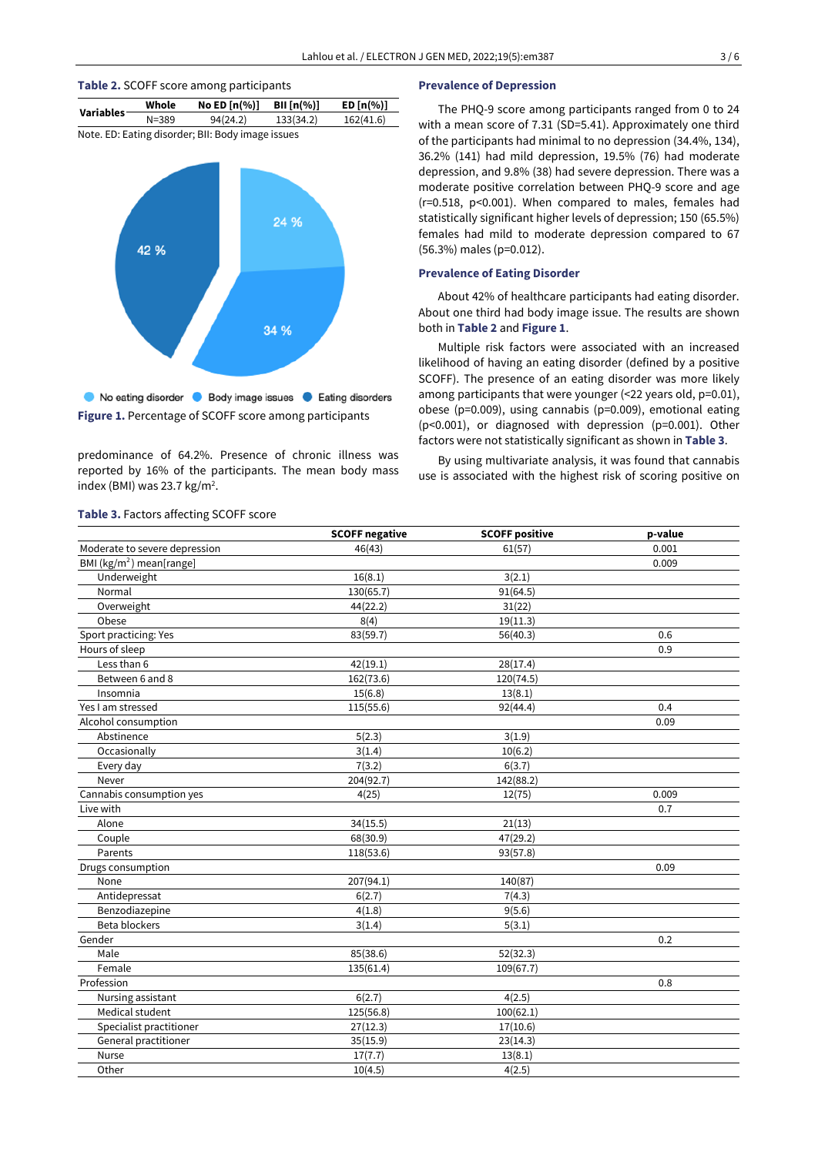

predominance of 64.2%. Presence of chronic illness was reported by 16% of the participants. The mean body mass index (BMI) was 23.7 kg/m<sup>2</sup>.

#### **Prevalence of Depression**

The PHQ-9 score among participants ranged from 0 to 24 with a mean score of 7.31 (SD=5.41). Approximately one third of the participants had minimal to no depression (34.4%, 134), 36.2% (141) had mild depression, 19.5% (76) had moderate depression, and 9.8% (38) had severe depression. There was a moderate positive correlation between PHQ-9 score and age (r=0.518, p<0.001). When compared to males, females had statistically significant higher levels of depression; 150 (65.5%) females had mild to moderate depression compared to 67 (56.3%) males (p=0.012).

## **Prevalence of Eating Disorder**

About 42% of healthcare participants had eating disorder. About one third had body image issue. The results are shown both in **Table 2** and **Figure 1**.

Multiple risk factors were associated with an increased likelihood of having an eating disorder (defined by a positive SCOFF). The presence of an eating disorder was more likely among participants that were younger (<22 years old, p=0.01), obese (p=0.009), using cannabis (p=0.009), emotional eating (p<0.001), or diagnosed with depression (p=0.001). Other factors were not statistically significant as shown in **Table 3**.

By using multivariate analysis, it was found that cannabis use is associated with the highest risk of scoring positive on

|                               | <b>SCOFF negative</b>  | <b>SCOFF positive</b> | p-value |
|-------------------------------|------------------------|-----------------------|---------|
| Moderate to severe depression | 46(43)                 | 61(57)                | 0.001   |
| BMI ( $kg/m2$ ) mean[range]   |                        |                       | 0.009   |
| Underweight                   | 16(8.1)                | 3(2.1)                |         |
| Normal                        | 130(65.7)              | 91(64.5)              |         |
| Overweight                    | $\overline{44}$ (22.2) | 31(22)                |         |
| Obese                         | 8(4)                   | 19(11.3)              |         |
| Sport practicing: Yes         | 83(59.7)               | 56(40.3)              | 0.6     |
| Hours of sleep                |                        |                       | 0.9     |
| Less than 6                   | 42(19.1)               | 28(17.4)              |         |
| Between 6 and 8               | 162(73.6)              | 120(74.5)             |         |
| Insomnia                      | 15(6.8)                | 13(8.1)               |         |
| Yes I am stressed             | 115(55.6)              | 92(44.4)              | 0.4     |
| Alcohol consumption           |                        |                       | 0.09    |
| Abstinence                    | 5(2.3)                 | 3(1.9)                |         |
| Occasionally                  | 3(1.4)                 | 10(6.2)               |         |
| Every day                     | 7(3.2)                 | 6(3.7)                |         |
| Never                         | 204(92.7)              | 142(88.2)             |         |
| Cannabis consumption yes      | 4(25)                  | 12(75)                | 0.009   |
| Live with                     |                        |                       | 0.7     |
| Alone                         | 34(15.5)               | 21(13)                |         |
| Couple                        | 68(30.9)               | 47(29.2)              |         |
| Parents                       | 118(53.6)              | 93(57.8)              |         |
| Drugs consumption             |                        |                       | 0.09    |
| None                          | 207(94.1)              | 140(87)               |         |
| Antidepressat                 | 6(2.7)                 | 7(4.3)                |         |
| Benzodiazepine                | 4(1.8)                 | 9(5.6)                |         |
| <b>Beta blockers</b>          | 3(1.4)                 | 5(3.1)                |         |
| Gender                        |                        |                       | 0.2     |
| Male                          | 85(38.6)               | 52(32.3)              |         |
| Female                        | 135(61.4)              | 109(67.7)             |         |
| Profession                    |                        |                       | 0.8     |
| Nursing assistant             | 6(2.7)                 | 4(2.5)                |         |
| Medical student               | 125(56.8)              | 100(62.1)             |         |
| Specialist practitioner       | 27(12.3)               | 17(10.6)              |         |
| General practitioner          | 35(15.9)               | 23(14.3)              |         |
| Nurse                         | 17(7.7)                | 13(8.1)               |         |
| Other                         | 10(4.5)                | 4(2.5)                |         |

## **Table 3.** Factors affecting SCOFF score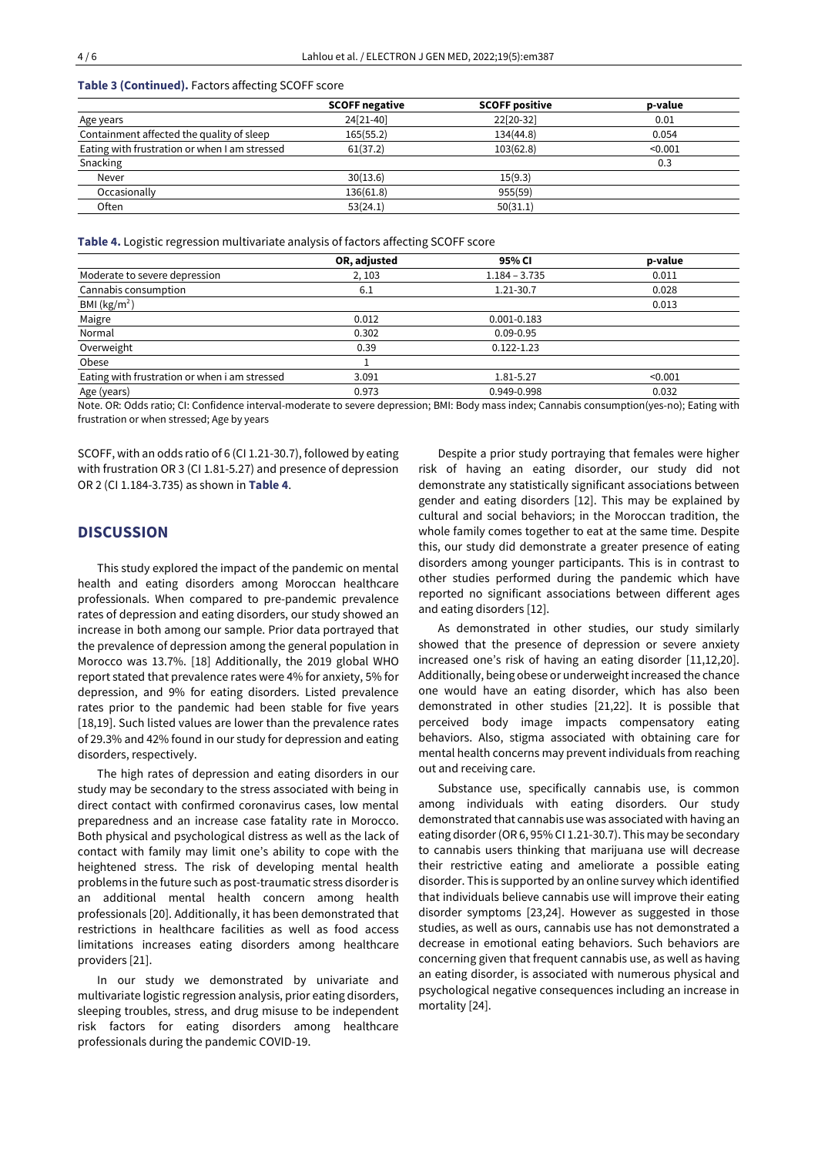**Table 3 (Continued).** Factors affecting SCOFF score

|                                               | <b>SCOFF negative</b> | <b>SCOFF positive</b> | p-value |
|-----------------------------------------------|-----------------------|-----------------------|---------|
| Age years                                     | 24[21-40]             | 22[20-32]             | 0.01    |
| Containment affected the quality of sleep     | 165(55.2)             | 134(44.8)             | 0.054   |
| Eating with frustration or when I am stressed | 61(37.2)              | 103(62.8)             | < 0.001 |
| Snacking                                      |                       |                       | 0.3     |
| Never                                         | 30(13.6)              | 15(9.3)               |         |
| Occasionally                                  | 136(61.8)             | 955(59)               |         |
| Often                                         | 53(24.1)              | 50(31.1)              |         |

**Table 4.** Logistic regression multivariate analysis of factors affecting SCOFF score

|                                                          | OR, adjusted | 95% CI                                     | p-value         |
|----------------------------------------------------------|--------------|--------------------------------------------|-----------------|
| Moderate to severe depression                            | 2, 103       | $1.184 - 3.735$                            | 0.011           |
| Cannabis consumption                                     | 6.1          | 1.21-30.7                                  | 0.028           |
| BMI ( $\text{kg/m}^2$ )                                  |              |                                            | 0.013           |
| Maigre                                                   | 0.012        | $0.001 - 0.183$                            |                 |
| Normal                                                   | 0.302        | $0.09 - 0.95$                              |                 |
| Overweight                                               | 0.39         | $0.122 - 1.23$                             |                 |
| Obese                                                    |              |                                            |                 |
| Eating with frustration or when i am stressed            | 3.091        | 1.81-5.27                                  | < 0.001         |
| Age (years)                                              | 0.973        | 0.949-0.998                                | 0.032           |
| $\cdots$ $\cdots$ $\cdots$ $\cdots$ $\cdots$<br>$\cdots$ | .            | $\cdots$<br>$\sim$ $\sim$ $\sim$<br>------ | $\cdots$<br>- - |

Note. OR: Odds ratio; CI: Confidence interval-moderate to severe depression; BMI: Body mass index; Cannabis consumption(yes-no); Eating with frustration or when stressed; Age by years

SCOFF, with an odds ratio of 6 (CI 1.21-30.7), followed by eating with frustration OR 3 (CI 1.81-5.27) and presence of depression OR 2 (CI 1.184-3.735) as shown in **Table 4**.

# **DISCUSSION**

This study explored the impact of the pandemic on mental health and eating disorders among Moroccan healthcare professionals. When compared to pre-pandemic prevalence rates of depression and eating disorders, our study showed an increase in both among our sample. Prior data portrayed that the prevalence of depression among the general population in Morocco was 13.7%. [18] Additionally, the 2019 global WHO report stated that prevalence rates were 4% for anxiety, 5% for depression, and 9% for eating disorders. Listed prevalence rates prior to the pandemic had been stable for five years [18,19]. Such listed values are lower than the prevalence rates of 29.3% and 42% found in our study for depression and eating disorders, respectively.

The high rates of depression and eating disorders in our study may be secondary to the stress associated with being in direct contact with confirmed coronavirus cases, low mental preparedness and an increase case fatality rate in Morocco. Both physical and psychological distress as well as the lack of contact with family may limit one's ability to cope with the heightened stress. The risk of developing mental health problems in the future such as post-traumatic stress disorderis an additional mental health concern among health professionals [20]. Additionally, it has been demonstrated that restrictions in healthcare facilities as well as food access limitations increases eating disorders among healthcare providers [21].

In our study we demonstrated by univariate and multivariate logistic regression analysis, prior eating disorders, sleeping troubles, stress, and drug misuse to be independent risk factors for eating disorders among healthcare professionals during the pandemic COVID-19.

Despite a prior study portraying that females were higher risk of having an eating disorder, our study did not demonstrate any statistically significant associations between gender and eating disorders [12]. This may be explained by cultural and social behaviors; in the Moroccan tradition, the whole family comes together to eat at the same time. Despite this, our study did demonstrate a greater presence of eating disorders among younger participants. This is in contrast to other studies performed during the pandemic which have reported no significant associations between different ages and eating disorders [12].

As demonstrated in other studies, our study similarly showed that the presence of depression or severe anxiety increased one's risk of having an eating disorder [11,12,20]. Additionally, being obese or underweight increased the chance one would have an eating disorder, which has also been demonstrated in other studies [21,22]. It is possible that perceived body image impacts compensatory eating behaviors. Also, stigma associated with obtaining care for mental health concerns may prevent individuals from reaching out and receiving care.

Substance use, specifically cannabis use, is common among individuals with eating disorders. Our study demonstrated that cannabis use was associated with having an eating disorder(OR 6, 95% CI 1.21-30.7). This may be secondary to cannabis users thinking that marijuana use will decrease their restrictive eating and ameliorate a possible eating disorder. This is supported by an online survey which identified that individuals believe cannabis use will improve their eating disorder symptoms [23,24]. However as suggested in those studies, as well as ours, cannabis use has not demonstrated a decrease in emotional eating behaviors. Such behaviors are concerning given that frequent cannabis use, as well as having an eating disorder, is associated with numerous physical and psychological negative consequences including an increase in mortality [24].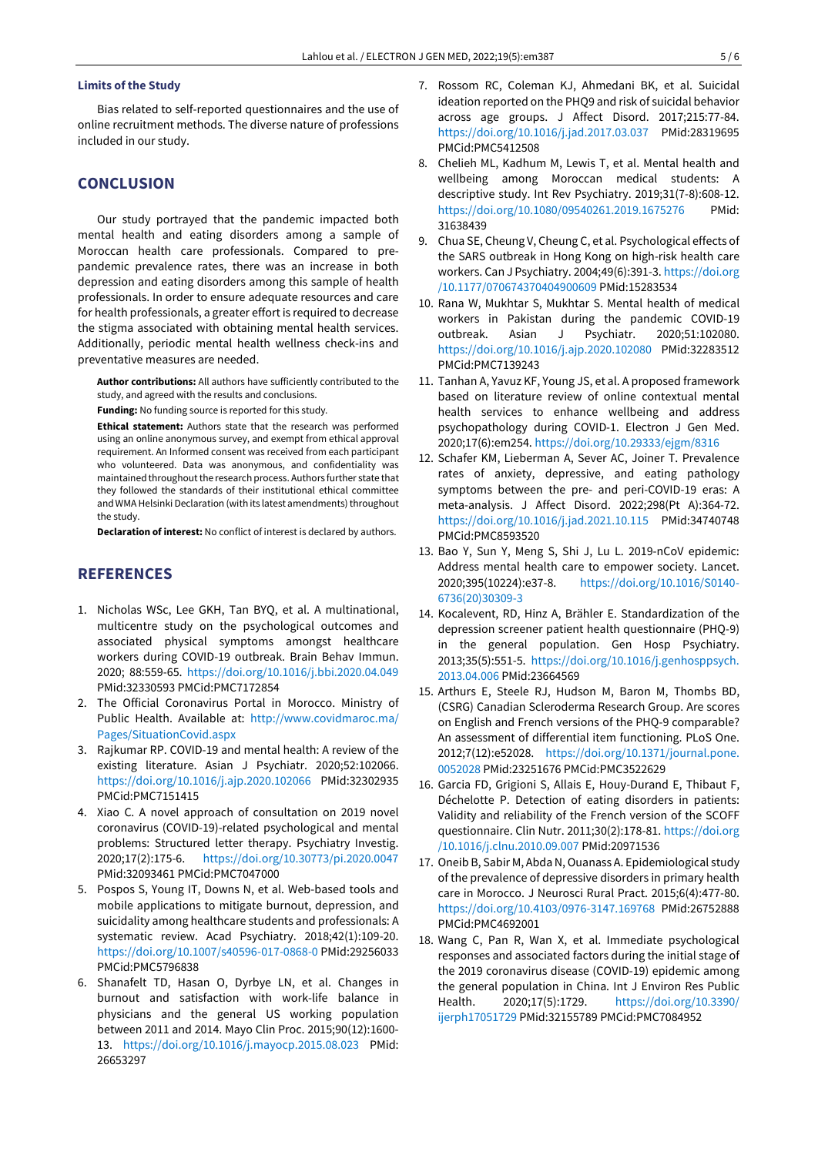## **Limits of the Study**

Bias related to self-reported questionnaires and the use of online recruitment methods. The diverse nature of professions included in our study.

## **CONCLUSION**

Our study portrayed that the pandemic impacted both mental health and eating disorders among a sample of Moroccan health care professionals. Compared to prepandemic prevalence rates, there was an increase in both depression and eating disorders among this sample of health professionals. In order to ensure adequate resources and care for health professionals, a greater effort is required to decrease the stigma associated with obtaining mental health services. Additionally, periodic mental health wellness check-ins and preventative measures are needed.

**Author contributions:** All authors have sufficiently contributed to the study, and agreed with the results and conclusions.

**Funding:** No funding source is reported for this study.

**Ethical statement:** Authors state that the research was performed using an online anonymous survey, and exempt from ethical approval requirement. An Informed consent was received from each participant who volunteered. Data was anonymous, and confidentiality was maintained throughout the research process. Authors further state that they followed the standards of their institutional ethical committee and WMA Helsinki Declaration (with its latest amendments) throughout the study.

**Declaration of interest:** No conflict of interest is declared by authors.

## **REFERENCES**

- 1. Nicholas WSc, Lee GKH, Tan BYQ, et al. A multinational, multicentre study on the psychological outcomes and associated physical symptoms amongst healthcare workers during COVID-19 outbreak. Brain Behav Immun. 2020; 88:559-65. <https://doi.org/10.1016/j.bbi.2020.04.049> PMid:32330593 PMCid:PMC7172854
- 2. The Official Coronavirus Portal in Morocco. Ministry of Public Health. Available at: [http://www.covidmaroc.ma/](http://www.covidmaroc.ma/Pages/SituationCovid.aspx) [Pages/SituationCovid.aspx](http://www.covidmaroc.ma/Pages/SituationCovid.aspx)
- 3. Rajkumar RP. COVID-19 and mental health: A review of the existing literature. Asian J Psychiatr. 2020;52:102066. <https://doi.org/10.1016/j.ajp.2020.102066> PMid:32302935 PMCid:PMC7151415
- 4. Xiao C. A novel approach of consultation on 2019 novel coronavirus (COVID-19)-related psychological and mental problems: Structured letter therapy. Psychiatry Investig. 2020;17(2):175-6. <https://doi.org/10.30773/pi.2020.0047> PMid:32093461 PMCid:PMC7047000
- 5. Pospos S, Young IT, Downs N, et al. Web-based tools and mobile applications to mitigate burnout, depression, and suicidality among healthcare students and professionals: A systematic review. Acad Psychiatry. 2018;42(1):109-20. <https://doi.org/10.1007/s40596-017-0868-0> PMid:29256033 PMCid:PMC5796838
- 6. Shanafelt TD, Hasan O, Dyrbye LN, et al. Changes in burnout and satisfaction with work-life balance in physicians and the general US working population between 2011 and 2014. Mayo Clin Proc. 2015;90(12):1600- 13. <https://doi.org/10.1016/j.mayocp.2015.08.023> PMid: 26653297
- 7. Rossom RC, Coleman KJ, Ahmedani BK, et al. Suicidal ideation reported on the PHQ9 and risk of suicidal behavior across age groups. J Affect Disord. 2017;215:77-84. <https://doi.org/10.1016/j.jad.2017.03.037> PMid:28319695 PMCid:PMC5412508
- 8. Chelieh ML, Kadhum M, Lewis T, et al. Mental health and wellbeing among Moroccan medical students: A descriptive study. Int Rev Psychiatry. 2019;31(7-8):608-12. <https://doi.org/10.1080/09540261.2019.1675276> PMid: 31638439
- 9. Chua SE, Cheung V, Cheung C, et al. Psychological effects of the SARS outbreak in Hong Kong on high-risk health care workers. Can J Psychiatry. 2004;49(6):391-3. [https://doi.org](https://doi.org/10.1177/070674370404900609) [/10.1177/070674370404900609](https://doi.org/10.1177/070674370404900609) PMid:15283534
- 10. Rana W, Mukhtar S, Mukhtar S. Mental health of medical workers in Pakistan during the pandemic COVID-19 outbreak. Asian J Psychiatr. 2020;51:102080. <https://doi.org/10.1016/j.ajp.2020.102080> PMid:32283512 PMCid:PMC7139243
- 11. Tanhan A, Yavuz KF, Young JS, et al. A proposed framework based on literature review of online contextual mental health services to enhance wellbeing and address psychopathology during COVID-1. Electron J Gen Med. 2020;17(6):em254. <https://doi.org/10.29333/ejgm/8316>
- 12. Schafer KM, Lieberman A, Sever AC, Joiner T. Prevalence rates of anxiety, depressive, and eating pathology symptoms between the pre- and peri-COVID-19 eras: A meta-analysis. J Affect Disord. 2022;298(Pt A):364-72. <https://doi.org/10.1016/j.jad.2021.10.115> PMid:34740748 PMCid:PMC8593520
- 13. Bao Y, Sun Y, Meng S, Shi J, Lu L. 2019-nCoV epidemic: Address mental health care to empower society. Lancet. 2020;395(10224):e37-8. [https://doi.org/10.1016/S0140-](https://doi.org/10.1016/S0140-6736(20)30309-3) [6736\(20\)30309-3](https://doi.org/10.1016/S0140-6736(20)30309-3)
- 14. Kocalevent, RD, Hinz A, Brähler E. Standardization of the depression screener patient health questionnaire (PHQ-9) in the general population. Gen Hosp Psychiatry. 2013;35(5):551-5. [https://doi.org/10.1016/j.genhosppsych.](https://doi.org/10.1016/j.genhosppsych.2013.04.006) [2013.04.006](https://doi.org/10.1016/j.genhosppsych.2013.04.006) PMid:23664569
- 15. Arthurs E, Steele RJ, Hudson M, Baron M, Thombs BD, (CSRG) Canadian Scleroderma Research Group. Are scores on English and French versions of the PHQ-9 comparable? An assessment of differential item functioning. PLoS One. 2012;7(12):e52028. [https://doi.org/10.1371/journal.pone.](https://doi.org/10.1371/journal.pone.0052028) [0052028](https://doi.org/10.1371/journal.pone.0052028) PMid:23251676 PMCid:PMC3522629
- 16. Garcia FD, Grigioni S, Allais E, Houy-Durand E, Thibaut F, Déchelotte P. Detection of eating disorders in patients: Validity and reliability of the French version of the SCOFF questionnaire. Clin Nutr. 2011;30(2):178-81. [https://doi.org](https://doi.org/10.1016/j.clnu.2010.09.007) [/10.1016/j.clnu.2010.09.007](https://doi.org/10.1016/j.clnu.2010.09.007) PMid:20971536
- 17. Oneib B, Sabir M, Abda N, Ouanass A. Epidemiological study of the prevalence of depressive disorders in primary health care in Morocco. J Neurosci Rural Pract. 2015;6(4):477-80. <https://doi.org/10.4103/0976-3147.169768> PMid:26752888 PMCid:PMC4692001
- 18. Wang C, Pan R, Wan X, et al. Immediate psychological responses and associated factors during the initial stage of the 2019 coronavirus disease (COVID-19) epidemic among the general population in China. Int J Environ Res Public Health. 2020;17(5):1729. [https://doi.org/10.3390/](https://doi.org/10.3390/ijerph17051729) [ijerph17051729](https://doi.org/10.3390/ijerph17051729) PMid:32155789 PMCid:PMC7084952